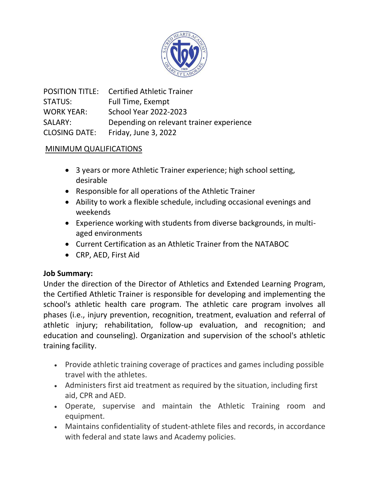

|                      | <b>POSITION TITLE:</b> Certified Athletic Trainer |
|----------------------|---------------------------------------------------|
| <b>STATUS:</b>       | Full Time, Exempt                                 |
| <b>WORK YEAR:</b>    | <b>School Year 2022-2023</b>                      |
| SALARY:              | Depending on relevant trainer experience          |
| <b>CLOSING DATE:</b> | Friday, June 3, 2022                              |

## MINIMUM QUALIFICATIONS

- 3 years or more Athletic Trainer experience; high school setting, desirable
- Responsible for all operations of the Athletic Trainer
- Ability to work a flexible schedule, including occasional evenings and weekends
- Experience working with students from diverse backgrounds, in multiaged environments
- Current Certification as an Athletic Trainer from the NATABOC
- CRP, AED, First Aid

## **Job Summary:**

Under the direction of the Director of Athletics and Extended Learning Program, the Certified Athletic Trainer is responsible for developing and implementing the school's athletic health care program. The athletic care program involves all phases (i.e., injury prevention, recognition, treatment, evaluation and referral of athletic injury; rehabilitation, follow-up evaluation, and recognition; and education and counseling). Organization and supervision of the school's athletic training facility.

- Provide athletic training coverage of practices and games including possible travel with the athletes.
- Administers first aid treatment as required by the situation, including first aid, CPR and AED.
- Operate, supervise and maintain the Athletic Training room and equipment.
- Maintains confidentiality of student-athlete files and records, in accordance with federal and state laws and Academy policies.